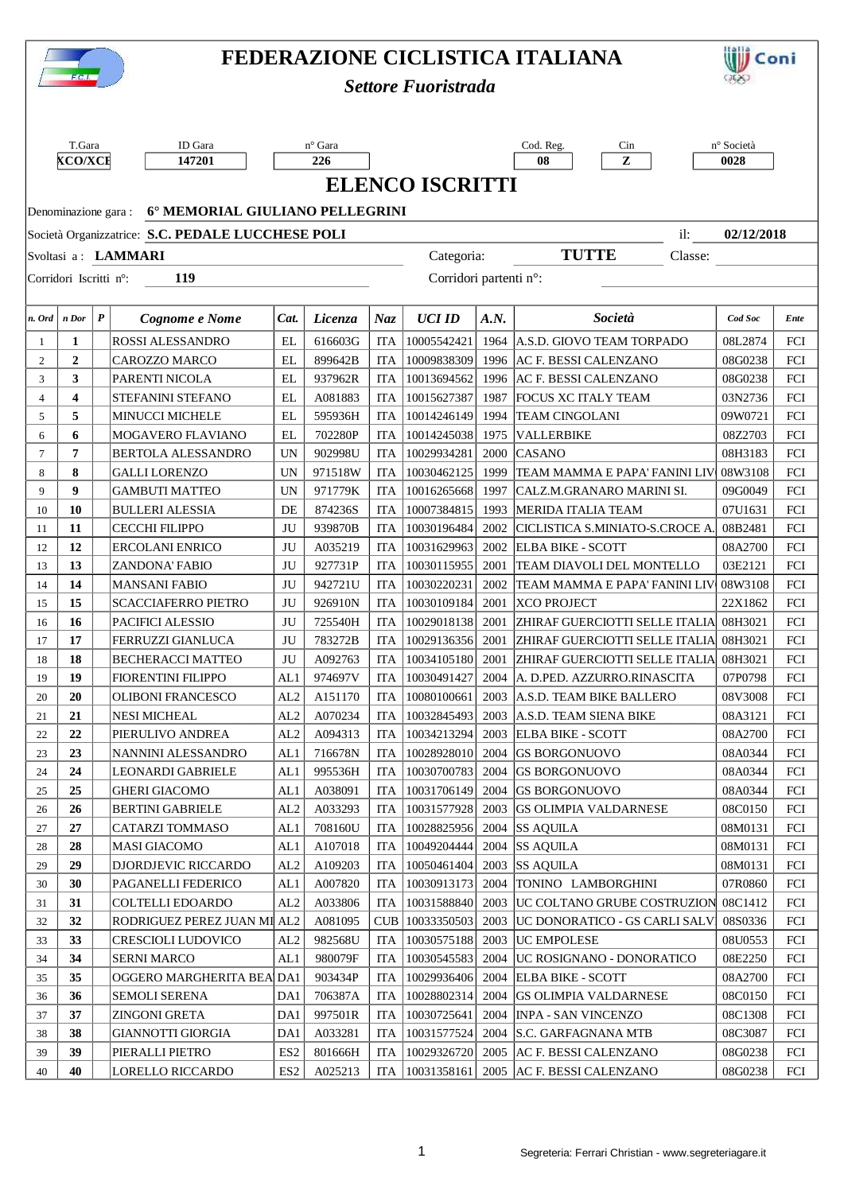|                                                                        | FEDERAZIONE CICLISTICA ITALIANA      |                  |                                                 |                 |                    |            |                                  |      |                                                                            |                    | Coni       |  |  |
|------------------------------------------------------------------------|--------------------------------------|------------------|-------------------------------------------------|-----------------|--------------------|------------|----------------------------------|------|----------------------------------------------------------------------------|--------------------|------------|--|--|
|                                                                        | F.C.I.<br><b>Settore Fuoristrada</b> |                  |                                                 |                 |                    |            |                                  |      |                                                                            |                    |            |  |  |
|                                                                        |                                      |                  |                                                 |                 |                    |            |                                  |      |                                                                            |                    |            |  |  |
|                                                                        |                                      |                  |                                                 |                 |                    |            |                                  |      |                                                                            |                    |            |  |  |
|                                                                        | T.Gara                               |                  | ID Gara                                         |                 | n° Gara            |            |                                  |      | Cod. Reg.<br>Cin                                                           | n° Società         |            |  |  |
| <b>XCO/XCE</b><br>147201<br>226                                        |                                      |                  |                                                 |                 |                    |            |                                  |      | 08<br>${\bf z}$                                                            | 0028               |            |  |  |
|                                                                        | <b>ELENCO ISCRITTI</b>               |                  |                                                 |                 |                    |            |                                  |      |                                                                            |                    |            |  |  |
|                                                                        | 6° MEMORIAL GIULIANO PELLEGRINI      |                  |                                                 |                 |                    |            |                                  |      |                                                                            |                    |            |  |  |
| Denominazione gara:                                                    |                                      |                  |                                                 |                 |                    |            |                                  |      |                                                                            |                    |            |  |  |
| Società Organizzatrice: S.C. PEDALE LUCCHESE POLI<br>02/12/2018<br>il: |                                      |                  |                                                 |                 |                    |            |                                  |      |                                                                            |                    |            |  |  |
| <b>TUTTE</b><br>Categoria:<br>Svoltasi a: LAMMARI<br>Classe:           |                                      |                  |                                                 |                 |                    |            |                                  |      |                                                                            |                    |            |  |  |
| Corridori partenti n°:<br>119<br>Corridori Iscritti n°:                |                                      |                  |                                                 |                 |                    |            |                                  |      |                                                                            |                    |            |  |  |
|                                                                        |                                      |                  |                                                 |                 |                    |            |                                  |      |                                                                            |                    |            |  |  |
| $n.$ Ord                                                               | n Dor                                | $\boldsymbol{P}$ | Cognome e Nome                                  | Cat.            | Licenza            | Naz        | <b>UCI ID</b>                    | A.N. | Società                                                                    | Cod Soc            | Ente       |  |  |
| -1                                                                     | 1                                    |                  | ROSSI ALESSANDRO                                | EL              | 616603G            | ITA        | 10005542421                      |      | 1964 A.S.D. GIOVO TEAM TORPADO                                             | 08L2874            | FCI        |  |  |
| $\overline{c}$                                                         | $\mathbf{2}$                         |                  | CAROZZO MARCO                                   | EL              | 899642B            | <b>ITA</b> | 10009838309                      |      | 1996 AC F. BESSI CALENZANO                                                 | 08G0238            | FCI        |  |  |
| 3                                                                      | 3                                    |                  | PARENTI NICOLA                                  | EL              | 937962R            | <b>ITA</b> | 10013694562                      | 1996 | AC F. BESSI CALENZANO                                                      | 08G0238            | FCI        |  |  |
| $\overline{4}$                                                         | 4                                    |                  | STEFANINI STEFANO                               | EL              | A081883            | <b>ITA</b> | 10015627387                      | 1987 | <b>FOCUS XC ITALY TEAM</b>                                                 | 03N2736            | FCI        |  |  |
| 5                                                                      | 5                                    |                  | <b>MINUCCI MICHELE</b>                          | EL              | 595936H            | <b>ITA</b> | 10014246149                      | 1994 | <b>TEAM CINGOLANI</b>                                                      | 09W0721            | FCI        |  |  |
| 6                                                                      | 6                                    |                  | MOGAVERO FLAVIANO                               | EL              | 702280P            | <b>ITA</b> | 10014245038                      | 1975 | <b>VALLERBIKE</b>                                                          | 08Z2703            | FCI        |  |  |
| 7                                                                      | 7                                    |                  | BERTOLA ALESSANDRO                              | <b>UN</b>       | 902998U            | <b>ITA</b> | 10029934281                      | 2000 | <b>CASANO</b>                                                              | 08H3183            | FCI        |  |  |
| 8                                                                      | 8                                    |                  | <b>GALLI LORENZO</b>                            | <b>UN</b>       | 971518W            | <b>ITA</b> | 10030462125                      | 1999 | TEAM MAMMA E PAPA' FANINI LIV                                              | 08W3108            | FCI        |  |  |
| 9                                                                      | 9                                    |                  | <b>GAMBUTI MATTEO</b>                           | <b>UN</b>       | 971779K            | <b>ITA</b> | 10016265668                      | 1997 | CALZ.M.GRANARO MARINI SI.                                                  | 09G0049            | FCI        |  |  |
| 10                                                                     | 10                                   |                  | <b>BULLERI ALESSIA</b>                          | DE              | 874236S            | <b>ITA</b> | 10007384815                      | 1993 | MERIDA ITALIA TEAM                                                         | 07U1631            | FCI        |  |  |
| 11                                                                     | 11                                   |                  | <b>CECCHI FILIPPO</b>                           | JU              | 939870B            | <b>ITA</b> | 10030196484                      | 2002 | CICLISTICA S.MINIATO-S.CROCE A.                                            | 08B2481            | FCI        |  |  |
| 12                                                                     | 12                                   |                  | ERCOLANI ENRICO                                 | JU              | A035219            | <b>ITA</b> | 10031629963                      | 2002 | <b>ELBA BIKE - SCOTT</b>                                                   | 08A2700            | FCI        |  |  |
| 13                                                                     | 13                                   |                  | <b>ZANDONA' FABIO</b>                           | JU              | 927731P            |            | ITA   10030115955                | 2001 | TEAM DIAVOLI DEL MONTELLO                                                  | 03E2121            | FCI        |  |  |
| 14                                                                     | 14                                   |                  | <b>MANSANI FABIO</b>                            | JU              | 942721U            | <b>ITA</b> | 10030220231                      | 2002 | TEAM MAMMA E PAPA' FANINI LIV                                              | 08W3108            | FCI        |  |  |
| 15                                                                     | 15                                   |                  | <b>SCACCIAFERRO PIETRO</b>                      | JU              | 926910N            | <b>ITA</b> | 10030109184                      |      | 2001 XCO PROJECT                                                           | 22X1862            | FCI        |  |  |
| 16                                                                     | 16                                   |                  | PACIFICI ALESSIO                                | JU              | 725540H            | <b>ITA</b> | 10029018138                      | 2001 | ZHIRAF GUERCIOTTI SELLE ITALIA                                             | 08H3021            | FCI        |  |  |
| 17                                                                     | 17                                   |                  | FERRUZZI GIANLUCA                               | JU              | 783272B            |            | ITA   10029136356                |      | 2001 ZHIRAF GUERCIOTTI SELLE ITALIA 08H3021                                |                    | FCI        |  |  |
| 18                                                                     | 18                                   |                  | BECHERACCI MATTEO                               | JU              | A092763            |            | ITA   10034105180                | 2001 | ZHIRAF GUERCIOTTI SELLE ITALIA 08H3021                                     |                    | FCI        |  |  |
| 19                                                                     | 19                                   |                  | <b>FIORENTINI FILIPPO</b>                       | AL1             | 974697V            | <b>ITA</b> | 10030491427                      |      | 2004   A. D.PED. AZZURRO.RINASCITA                                         | 07P0798            | FCI        |  |  |
| 20                                                                     | 20                                   |                  | <b>OLIBONI FRANCESCO</b>                        | AL2             | A151170            | <b>ITA</b> | 10080100661                      |      | 2003 A.S.D. TEAM BIKE BALLERO                                              | 08V3008            | FCI        |  |  |
| 21                                                                     | 21                                   |                  | <b>NESI MICHEAL</b>                             | AL2             | A070234            | <b>ITA</b> | 10032845493                      | 2003 | A.S.D. TEAM SIENA BIKE                                                     | 08A3121            | FCI        |  |  |
| 22                                                                     | 22                                   |                  | PIERULIVO ANDREA                                | AL <sub>2</sub> | A094313            | <b>ITA</b> | 10034213294                      | 2003 | <b>ELBA BIKE - SCOTT</b>                                                   | 08A2700            | FCI        |  |  |
| 23                                                                     | 23                                   |                  | NANNINI ALESSANDRO                              | AL1             | 716678N            |            | ITA   10028928010                |      | 2004 GS BORGONUOVO                                                         | 08A0344            | FCI        |  |  |
| 24                                                                     | 24                                   |                  | LEONARDI GABRIELE                               | AL <sub>1</sub> | 995536H            | <b>ITA</b> | 10030700783                      | 2004 | <b>GS BORGONUOVO</b>                                                       | 08A0344            | FCI        |  |  |
| 25                                                                     | 25                                   |                  | <b>GHERI GIACOMO</b>                            | AL1             | A038091            | <b>ITA</b> | 10031706149                      |      | 2004 GS BORGONUOVO                                                         | 08A0344            | FCI        |  |  |
| 26                                                                     | 26                                   |                  | <b>BERTINI GABRIELE</b>                         | AL2             | A033293            |            | ITA   10031577928                |      | 2003 GS OLIMPIA VALDARNESE                                                 | 08C0150            | FCI        |  |  |
| 27                                                                     | 27                                   |                  | CATARZI TOMMASO                                 | AL <sub>1</sub> | 708160U            | <b>ITA</b> | 10028825956                      |      | 2004 SS AQUILA                                                             | 08M0131            | FCI        |  |  |
| 28                                                                     | 28<br>29                             |                  | <b>MASI GIACOMO</b>                             | AL1             | A107018            | <b>ITA</b> | 10049204444                      |      | 2004 SS AQUILA                                                             | 08M0131            | FCI        |  |  |
| 29                                                                     | 30                                   |                  | DJORDJEVIC RICCARDO                             | AL2             | A109203            |            | ITA   10050461404                |      | $2003$ SS AQUILA                                                           | 08M0131            | FCI        |  |  |
| 30                                                                     |                                      |                  | PAGANELLI FEDERICO                              | AL1             | A007820            | <b>ITA</b> | 10030913173                      |      | 2004 TONINO LAMBORGHINI                                                    | 07R0860            | FCI        |  |  |
| 31<br>32                                                               | 31<br>32                             |                  | COLTELLI EDOARDO<br>RODRIGUEZ PEREZ JUAN MI AL2 | AL <sub>2</sub> | A033806<br>A081095 | <b>ITA</b> | 10031588840<br>CUB   10033350503 |      | 2003   UC COLTANO GRUBE COSTRUZION<br>2003   UC DONORATICO - GS CARLI SALV | 08C1412<br>08S0336 | FCI<br>FCI |  |  |
| 33                                                                     | 33                                   |                  | CRESCIOLI LUDOVICO                              | AL <sub>2</sub> | 982568U            | <b>ITA</b> | 10030575188                      | 2003 | <b>UC EMPOLESE</b>                                                         | 08U0553            | FCI        |  |  |
| 34                                                                     | 34                                   |                  | <b>SERNI MARCO</b>                              | AL1             | 980079F            | <b>ITA</b> | 10030545583                      | 2004 | UC ROSIGNANO - DONORATICO                                                  | 08E2250            | FCI        |  |  |
| 35                                                                     | 35                                   |                  | OGGERO MARGHERITA BEA DA1                       |                 | 903434P            | <b>ITA</b> | 10029936406                      |      | 2004 ELBA BIKE - SCOTT                                                     | 08A2700            | FCI        |  |  |
| 36                                                                     | 36                                   |                  | SEMOLI SERENA                                   | DA1             | 706387A            |            | ITA   10028802314                |      | 2004 GS OLIMPIA VALDARNESE                                                 | 08C0150            | FCI        |  |  |
| 37                                                                     | 37                                   |                  | ZINGONI GRETA                                   | DA1             | 997501R            | <b>ITA</b> | 10030725641                      |      | 2004   INPA - SAN VINCENZO                                                 | 08C1308            | FCI        |  |  |
| 38                                                                     | 38                                   |                  | <b>GIANNOTTI GIORGIA</b>                        | DA1             | A033281            | <b>ITA</b> | 10031577524                      |      | 2004 S.C. GARFAGNANA MTB                                                   | 08C3087            | FCI        |  |  |
| 39                                                                     | 39                                   |                  | PIERALLI PIETRO                                 | ES <sub>2</sub> | 801666H            | <b>ITA</b> | 10029326720                      |      | 2005 AC F. BESSI CALENZANO                                                 | 08G0238            | FCI        |  |  |
| 40                                                                     | 40                                   |                  | LORELLO RICCARDO                                | ES <sub>2</sub> | A025213            |            | ITA   10031358161                |      | 2005 AC F. BESSI CALENZANO                                                 | 08G0238            | FCI        |  |  |
|                                                                        |                                      |                  |                                                 |                 |                    |            |                                  |      |                                                                            |                    |            |  |  |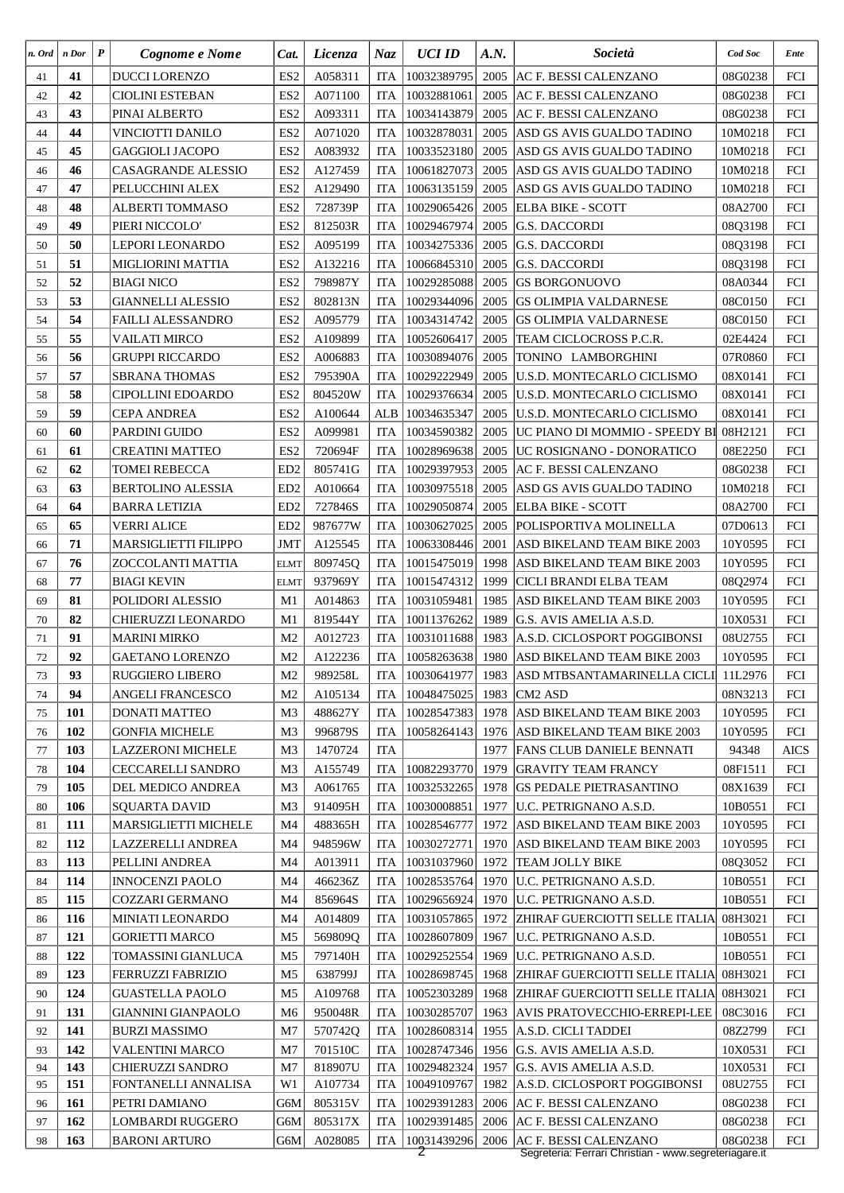| n. Ord | n Dor      | $\boldsymbol{P}$ | Cognome e Nome                        | Cat.                 | <i>Licenza</i>     | Naz                      | <b>UCI ID</b>              | A.N. | Società                                                           | Cod Soc            | Ente        |
|--------|------------|------------------|---------------------------------------|----------------------|--------------------|--------------------------|----------------------------|------|-------------------------------------------------------------------|--------------------|-------------|
| 41     | 41         |                  | <b>DUCCI LORENZO</b>                  | ES <sub>2</sub>      | A058311            | <b>ITA</b>               | 10032389795                |      | 2005 AC F. BESSI CALENZANO                                        | 08G0238            | FCI         |
| 42     | 42         |                  | <b>CIOLINI ESTEBAN</b>                | ES <sub>2</sub>      | A071100            | <b>ITA</b>               | 10032881061                | 2005 | <b>AC F. BESSI CALENZANO</b>                                      | 08G0238            | FCI         |
| 43     | 43         |                  | PINAI ALBERTO                         | ES <sub>2</sub>      | A093311            | <b>ITA</b>               | 10034143879                | 2005 | <b>AC F. BESSI CALENZANO</b>                                      | 08G0238            | FCI         |
| 44     | 44         |                  | VINCIOTTI DANILO                      | ES <sub>2</sub>      | A071020            | <b>ITA</b>               | 10032878031                | 2005 | ASD GS AVIS GUALDO TADINO                                         | 10M0218            | FCI         |
| 45     | 45         |                  | GAGGIOLI JACOPO                       | ES <sub>2</sub>      | A083932            | <b>ITA</b>               | 10033523180                | 2005 | ASD GS AVIS GUALDO TADINO                                         | 10M0218            | FCI         |
| 46     | 46         |                  | <b>CASAGRANDE ALESSIO</b>             | ES <sub>2</sub>      | A127459            | <b>ITA</b>               | 10061827073                | 2005 | ASD GS AVIS GUALDO TADINO                                         | 10M0218            | FCI         |
| 47     | 47         |                  | PELUCCHINI ALEX                       | ES <sub>2</sub>      | A129490            | <b>ITA</b>               | 10063135159                | 2005 | ASD GS AVIS GUALDO TADINO                                         | 10M0218            | FCI         |
| 48     | 48         |                  | ALBERTI TOMMASO                       | ES <sub>2</sub>      | 728739P            | <b>ITA</b>               | 10029065426                |      | 2005 ELBA BIKE - SCOTT                                            | 08A2700            | FCI         |
| 49     | 49         |                  | PIERI NICCOLO'                        | ES <sub>2</sub>      | 812503R            | <b>ITA</b>               | 10029467974                | 2005 | <b>G.S. DACCORDI</b>                                              | 08Q3198            | FCI         |
| 50     | 50         |                  | LEPORI LEONARDO                       | ES <sub>2</sub>      | A095199            | <b>ITA</b>               | 10034275336                | 2005 | <b>G.S. DACCORDI</b>                                              | 08Q3198            | FCI         |
| 51     | 51         |                  | MIGLIORINI MATTIA                     | ES <sub>2</sub>      | A132216            | <b>ITA</b>               | 10066845310                | 2005 | <b>G.S. DACCORDI</b>                                              | 08Q3198            | FCI         |
| 52     | 52         |                  | <b>BIAGI NICO</b>                     | ES <sub>2</sub>      | 798987Y            | <b>ITA</b>               | 10029285088                | 2005 | <b>GS BORGONUOVO</b>                                              | 08A0344            | FCI         |
| 53     | 53         |                  | <b>GIANNELLI ALESSIO</b>              | ES <sub>2</sub>      | 802813N            | <b>ITA</b>               | 10029344096                | 2005 | <b>GS OLIMPIA VALDARNESE</b>                                      | 08C0150            | FCI         |
| 54     | 54         |                  | <b>FAILLI ALESSANDRO</b>              | ES <sub>2</sub>      | A095779            | <b>ITA</b>               | 10034314742                | 2005 | <b>GS OLIMPIA VALDARNESE</b>                                      | 08C0150            | FCI         |
| 55     | 55         |                  | <b>VAILATI MIRCO</b>                  | ES <sub>2</sub>      | A109899            | <b>ITA</b>               | 10052606417                | 2005 | TEAM CICLOCROSS P.C.R.                                            | 02E4424            | FCI         |
| 56     | 56         |                  | <b>GRUPPI RICCARDO</b>                | ES <sub>2</sub>      | A006883            | <b>ITA</b>               | 10030894076                | 2005 | TONINO LAMBORGHINI                                                | 07R0860            | FCI         |
| 57     | 57         |                  | <b>SBRANA THOMAS</b>                  | ES <sub>2</sub>      | 795390A            | <b>ITA</b>               | 10029222949                | 2005 | U.S.D. MONTECARLO CICLISMO                                        | 08X0141            | FCI         |
| 58     | 58         |                  | <b>CIPOLLINI EDOARDO</b>              | ES <sub>2</sub>      | 804520W            | <b>ITA</b>               | 10029376634                | 2005 | U.S.D. MONTECARLO CICLISMO                                        | 08X0141            | FCI         |
| 59     | 59         |                  | <b>CEPA ANDREA</b>                    | ES <sub>2</sub>      | A100644            | ALB                      | 10034635347                | 2005 | <b>U.S.D. MONTECARLO CICLISMO</b>                                 | 08X0141            | FCI         |
| 60     | 60         |                  | PARDINI GUIDO                         | ES <sub>2</sub>      | A099981            | <b>ITA</b>               | 10034590382                | 2005 | UC PIANO DI MOMMIO - SPEEDY BI                                    | 08H2121            | FCI         |
| 61     | 61         |                  | <b>CREATINI MATTEO</b>                | ES <sub>2</sub>      | 720694F            | <b>ITA</b>               | 10028969638                |      | 2005   UC ROSIGNANO - DONORATICO                                  | 08E2250            | FCI         |
| 62     | 62         |                  | TOMEI REBECCA                         | ED <sub>2</sub>      | 805741G            | <b>ITA</b>               | 10029397953                | 2005 | <b>AC F. BESSI CALENZANO</b>                                      | 08G0238            | FCI         |
| 63     | 63         |                  | <b>BERTOLINO ALESSIA</b>              | ED <sub>2</sub>      | A010664            | <b>ITA</b>               | 10030975518                | 2005 | ASD GS AVIS GUALDO TADINO                                         | 10M0218            | FCI         |
| 64     | 64         |                  | <b>BARRA LETIZIA</b>                  | ED <sub>2</sub>      | 727846S            | <b>ITA</b>               | 10029050874                | 2005 | <b>ELBA BIKE - SCOTT</b>                                          | 08A2700            | FCI         |
| 65     | 65         |                  | <b>VERRI ALICE</b>                    | ED <sub>2</sub>      | 987677W            | <b>ITA</b>               | 10030627025                | 2005 | POLISPORTIVA MOLINELLA                                            | 07D0613            | FCI         |
| 66     | 71         |                  | MARSIGLIETTI FILIPPO                  | <b>JMT</b>           | A125545            | <b>ITA</b>               | 10063308446                | 2001 | ASD BIKELAND TEAM BIKE 2003                                       | 10Y0595            | FCI         |
| 67     | 76         |                  | <b>ZOCCOLANTI MATTIA</b>              | <b>ELMT</b>          | 809745Q            | <b>ITA</b>               | 10015475019                | 1998 | <b>ASD BIKELAND TEAM BIKE 2003</b>                                | 10Y0595            | FCI         |
| 68     | 77         |                  | <b>BIAGI KEVIN</b>                    | <b>ELMT</b>          | 937969Y            | <b>ITA</b>               | 10015474312                | 1999 | CICLI BRANDI ELBA TEAM                                            | 08Q2974            | FCI         |
| 69     | 81         |                  | POLIDORI ALESSIO                      | M1                   | A014863            | <b>ITA</b>               | 10031059481                | 1985 | ASD BIKELAND TEAM BIKE 2003                                       | 10Y0595            | FCI         |
| 70     | 82         |                  | CHIERUZZI LEONARDO                    | M1                   | 819544Y            | <b>ITA</b>               | 10011376262                | 1989 | G.S. AVIS AMELIA A.S.D.                                           | 10X0531            | FCI         |
| 71     | 91         |                  | <b>MARINI MIRKO</b>                   | M <sub>2</sub>       | A012723            | ITA                      | 10031011688                |      | 1983   A.S.D. CICLOSPORT POGGIBONSI                               | 08U2755            | FCI         |
| 72     | 92         |                  | GAETANO LORENZO                       | M <sub>2</sub>       | A122236            | ITA                      |                            |      | 10058263638 1980 ASD BIKELAND TEAM BIKE 2003                      | 10Y0595            | FCI         |
| 73     | 93         |                  | <b>RUGGIERO LIBERO</b>                | M <sub>2</sub>       | 989258L            | <b>ITA</b>               | 10030641977                |      | 1983 ASD MTBSANTAMARINELLA CICLI                                  | 11L2976            | FCI         |
| 74     | 94         |                  | ANGELI FRANCESCO                      | M <sub>2</sub>       | A105134            | <b>ITA</b>               | 10048475025                |      | 1983   CM2 ASD                                                    | 08N3213            | FCI         |
| 75     | 101        |                  | DONATI MATTEO                         | M <sub>3</sub>       | 488627Y            | <b>ITA</b>               | 10028547383                |      | 1978 ASD BIKELAND TEAM BIKE 2003                                  | 10Y0595            | FCI         |
| 76     | 102        |                  | <b>GONFIA MICHELE</b>                 | M <sub>3</sub>       | 996879S            | <b>ITA</b>               | 10058264143                |      | 1976 ASD BIKELAND TEAM BIKE 2003                                  | 10Y0595            | FCI         |
| 77     | 103        |                  | <b>LAZZERONI MICHELE</b>              | M <sub>3</sub>       | 1470724            | <b>ITA</b>               |                            |      | 1977 FANS CLUB DANIELE BENNATI                                    | 94348              | <b>AICS</b> |
| 78     | 104        |                  | <b>CECCARELLI SANDRO</b>              | M <sub>3</sub>       | A155749            | <b>ITA</b>               | 10082293770                |      | 1979 GRAVITY TEAM FRANCY                                          | 08F1511            | FCI         |
|        | 105        |                  |                                       |                      |                    | <b>ITA</b>               |                            |      |                                                                   |                    |             |
| 79     |            |                  | DEL MEDICO ANDREA                     | M <sub>3</sub>       | A061765            |                          | 10032532265                |      | 1978   GS PEDALE PIETRASANTINO                                    | 08X1639            | FCI         |
| 80     | 106<br>111 |                  | SQUARTA DAVID<br>MARSIGLIETTI MICHELE | M <sub>3</sub><br>M4 | 914095H<br>488365H | <b>ITA</b><br><b>ITA</b> | 10030008851<br>10028546777 |      | 1977   U.C. PETRIGNANO A.S.D.<br>1972 ASD BIKELAND TEAM BIKE 2003 | 10B0551<br>10Y0595 | FCI<br>FCI  |
| 81     | 112        |                  | <b>LAZZERELLI ANDREA</b>              | M4                   | 948596W            | <b>ITA</b>               |                            |      |                                                                   | 10Y0595            | FCI         |
| 82     |            |                  |                                       |                      |                    |                          | 10030272771                |      | 1970 ASD BIKELAND TEAM BIKE 2003                                  |                    |             |
| 83     | 113<br>114 |                  | <b>PELLINI ANDREA</b>                 | M <sub>4</sub><br>M4 | A013911            | <b>ITA</b>               | 10031037960                |      | 1972 TEAM JOLLY BIKE                                              | 08Q3052<br>10B0551 | FCI         |
| 84     |            |                  | <b>INNOCENZI PAOLO</b>                |                      | 466236Z            | <b>ITA</b>               | 10028535764                |      | 1970   U.C. PETRIGNANO A.S.D.                                     |                    | FCI         |
| 85     | 115<br>116 |                  | COZZARI GERMANO                       | M4<br>M4             | 856964S            | <b>ITA</b><br><b>ITA</b> | 10029656924                |      | 1970   U.C. PETRIGNANO A.S.D.                                     | 10B0551            | FCI<br>FCI  |
| 86     |            |                  | <b>MINIATI LEONARDO</b>               |                      | A014809            |                          | 10031057865                |      | 1972 ZHIRAF GUERCIOTTI SELLE ITALIA 08H3021                       |                    |             |
| 87     | 121        |                  | <b>GORIETTI MARCO</b>                 | M <sub>5</sub>       | 569809Q            | <b>ITA</b>               | 10028607809                |      | 1967   U.C. PETRIGNANO A.S.D.                                     | 10B0551            | FCI         |
| 88     | 122        |                  | TOMASSINI GIANLUCA                    | M <sub>5</sub>       | 797140H            | <b>ITA</b>               | 10029252554                |      | 1969   U.C. PETRIGNANO A.S.D.                                     | 10B0551            | FCI         |
| 89     | 123        |                  | <b>FERRUZZI FABRIZIO</b>              | M <sub>5</sub>       | 638799J            | <b>ITA</b>               | 10028698745                |      | 1968 ZHIRAF GUERCIOTTI SELLE ITALIA 08H3021                       |                    | FCI         |
| 90     | 124        |                  | <b>GUASTELLA PAOLO</b>                | M <sub>5</sub>       | A109768            | <b>ITA</b>               | 10052303289                |      | 1968 ZHIRAF GUERCIOTTI SELLE ITALIA 08H3021                       |                    | FCI         |
| 91     | 131        |                  | <b>GIANNINI GIANPAOLO</b>             | M <sub>6</sub>       | 950048R            | <b>ITA</b>               | 10030285707                |      | 1963 AVIS PRATOVECCHIO-ERREPI-LEE                                 | 08C3016            | FCI         |
| 92     | 141        |                  | <b>BURZI MASSIMO</b>                  | M7                   | 570742Q            | <b>ITA</b>               | 10028608314                |      | 1955   A.S.D. CICLI TADDEI                                        | 08Z2799            | FCI         |
| 93     | 142        |                  | <b>VALENTINI MARCO</b>                | M <sub>7</sub>       | 701510C            | <b>ITA</b>               | 10028747346                |      | 1956 G.S. AVIS AMELIA A.S.D.                                      | 10X0531            | FCI         |
| 94     | 143        |                  | CHIERUZZI SANDRO                      | M <sub>7</sub>       | 818907U            | <b>ITA</b>               | 10029482324                | 1957 | G.S. AVIS AMELIA A.S.D.                                           | 10X0531            | FCI         |
| 95     | 151        |                  | FONTANELLI ANNALISA                   | W1                   | A107734            | <b>ITA</b>               | 10049109767                |      | 1982   A.S.D. CICLOSPORT POGGIBONSI                               | 08U2755            | FCI         |
| 96     | 161        |                  | PETRI DAMIANO                         | G6M                  | 805315V            | <b>ITA</b>               | 10029391283                |      | 2006 AC F. BESSI CALENZANO                                        | 08G0238            | FCI         |
| 97     | 162        |                  | <b>LOMBARDI RUGGERO</b>               | G6M                  | 805317X            | <b>ITA</b>               | 10029391485                |      | 2006   AC F. BESSI CALENZANO                                      | 08G0238            | FCI         |
| 98     | 163        |                  | <b>BARONI ARTURO</b>                  | G6M                  | A028085            |                          | ITA 10031439296            |      | 2006 AC F. BESSI CALENZANO                                        | 08G0238            | FCI         |